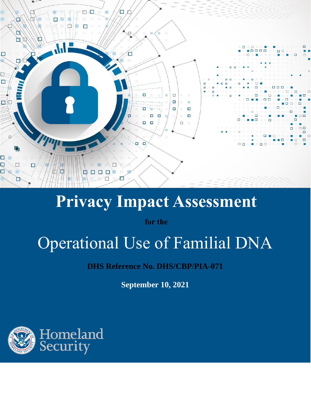

## **Privacy Impact Assessment**

**for the**

# Operational Use of Familial DNA

**DHS Reference No. DHS/CBP/PIA-071**

**September 10, 2021**

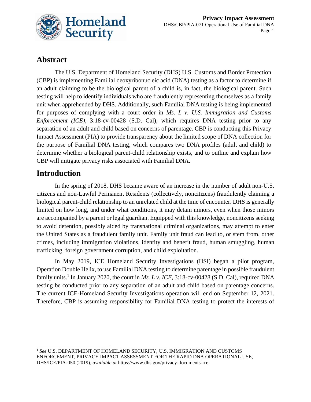

#### **Abstract**

The U.S. Department of Homeland Security (DHS) U.S. Customs and Border Protection (CBP) is implementing Familial deoxyribonucleic acid (DNA) testing as a factor to determine if an adult claiming to be the biological parent of a child is, in fact, the biological parent. Such testing will help to identify individuals who are fraudulently representing themselves as a family unit when apprehended by DHS. Additionally, such Familial DNA testing is being implemented for purposes of complying with a court order in *Ms. L v. U.S. Immigration and Customs Enforcement (ICE)*, 3:18-cv-00428 (S.D. Cal), which requires DNA testing prior to any separation of an adult and child based on concerns of parentage. CBP is conducting this Privacy Impact Assessment (PIA) to provide transparency about the limited scope of DNA collection for the purpose of Familial DNA testing, which compares two DNA profiles (adult and child) to determine whether a biological parent-child relationship exists, and to outline and explain how CBP will mitigate privacy risks associated with Familial DNA.

#### **Introduction**

In the spring of 2018, DHS became aware of an increase in the number of adult non-U.S. citizens and non-Lawful Permanent Residents (collectively, noncitizens) fraudulently claiming a biological parent-child relationship to an unrelated child at the time of encounter. DHS is generally limited on how long, and under what conditions, it may detain minors, even when those minors are accompanied by a parent or legal guardian. Equipped with this knowledge, noncitizens seeking to avoid detention, possibly aided by transnational criminal organizations, may attempt to enter the United States as a fraudulent family unit. Family unit fraud can lead to, or stem from, other crimes, including immigration violations, identity and benefit fraud, human smuggling, human trafficking, foreign government corruption, and child exploitation.

In May 2019, ICE Homeland Security Investigations (HSI) began a pilot program, Operation Double Helix, to use Familial DNA testing to determine parentage in possible fraudulent family units.<sup>1</sup> In January 2020, the court in *Ms. L v. ICE*,  $3:18$ -cv-00428 (S.D. Cal), required DNA testing be conducted prior to any separation of an adult and child based on parentage concerns. The current ICE-Homeland Security Investigations operation will end on September 12, 2021. Therefore, CBP is assuming responsibility for Familial DNA testing to protect the interests of

<sup>1</sup> *See* U.S. DEPARTMENT OF HOMELAND SECURITY, U.S. IMMIGRATION AND CUSTOMS ENFORCEMENT, PRIVACY IMPACT ASSESSMENT FOR THE RAPID DNA OPERATIONAL USE, DHS/ICE/PIA-050 (2019), *available at* https://www.dhs.gov/privacy-documents-ice.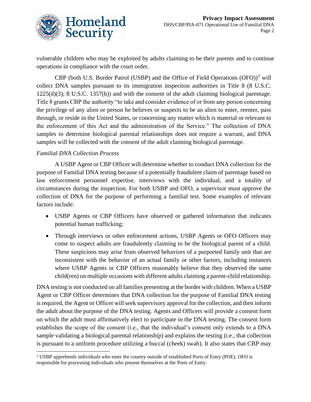

vulnerable children who may be exploited by adults claiming to be their parents and to continue operations in compliance with the court order.

CBP (both U.S. Border Patrol (USBP) and the Office of Field Operations  $(OFO))^2$  will collect DNA samples pursuant to its immigration inspection authorities in Title 8 (8 U.S.C. 1225(d)(3); 8 U.S.C. 1357(b)) and with the consent of the adult claiming biological parentage. Title 8 grants CBP the authority "to take and consider evidence of or from any person concerning the privilege of any alien or person he believes or suspects to be an alien to enter, reenter, pass through, or reside in the United States, or concerning any matter which is material or relevant to the enforcement of this Act and the administration of the Service." The collection of DNA samples to determine biological parental relationships does not require a warrant, and DNA samples will be collected with the consent of the adult claiming biological parentage.

#### *Familial DNA Collection Process*

A USBP Agent or CBP Officer will determine whether to conduct DNA collection for the purpose of Familial DNA testing because of a potentially fraudulent claim of parentage based on law enforcement personnel expertise, interviews with the individual, and a totality of circumstances during the inspection. For both USBP and OFO, a supervisor must approve the collection of DNA for the purpose of performing a familial test. Some examples of relevant factors include:

- USBP Agents or CBP Officers have observed or gathered information that indicates potential human trafficking;
- Through interviews or other enforcement actions, USBP Agents or OFO Officers may come to suspect adults are fraudulently claiming to be the biological parent of a child. These suspicions may arise from observed behaviors of a purported family unit that are inconsistent with the behavior of an actual family or other factors, including instances where USBP Agents or CBP Officers reasonably believe that they observed the same child(ren) on multiple occasions with different adults claiming a parent-child relationship.

DNA testing is not conducted on all families presenting at the border with children. When a USBP Agent or CBP Officer determines that DNA collection for the purpose of Familial DNA testing is required, the Agent or Officer will seek supervisory approval for the collection, and then inform the adult about the purpose of the DNA testing. Agents and Officers will provide a consent form on which the adult must affirmatively elect to participate in the DNA testing. The consent form establishes the scope of the consent (i.e., that the individual's consent only extends to a DNA sample validating a biological parental relationship) and explains the testing (i.e., that collection is pursuant to a uniform procedure utilizing a buccal (cheek) swab). It also states that CBP may

<sup>&</sup>lt;sup>2</sup> USBP apprehends individuals who enter the country outside of established Ports of Entry (POE). OFO is responsible for processing individuals who present themselves at the Ports of Entry.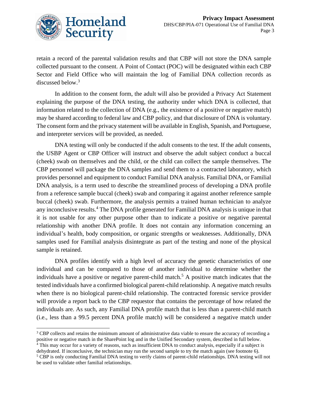

retain a record of the parental validation results and that CBP will not store the DNA sample collected pursuant to the consent. A Point of Contact (POC) will be designated within each CBP Sector and Field Office who will maintain the log of Familial DNA collection records as discussed below. 3

In addition to the consent form, the adult will also be provided a Privacy Act Statement explaining the purpose of the DNA testing, the authority under which DNA is collected, that information related to the collection of DNA (e.g., the existence of a positive or negative match) may be shared according to federal law and CBP policy, and that disclosure of DNA is voluntary. The consent form and the privacy statement will be available in English, Spanish, and Portuguese, and interpreter services will be provided, as needed.

DNA testing will only be conducted if the adult consents to the test. If the adult consents, the USBP Agent or CBP Officer will instruct and observe the adult subject conduct a buccal (cheek) swab on themselves and the child, or the child can collect the sample themselves. The CBP personnel will package the DNA samples and send them to a contracted laboratory, which provides personnel and equipment to conduct Familial DNA analysis. Familial DNA, or Familial DNA analysis, is a term used to describe the streamlined process of developing a DNA profile from a reference sample buccal (cheek) swab and comparing it against another reference sample buccal (cheek) swab. Furthermore, the analysis permits a trained human technician to analyze any inconclusive results. <sup>4</sup> The DNA profile generated for Familial DNA analysis is unique in that it is not usable for any other purpose other than to indicate a positive or negative parental relationship with another DNA profile. It does not contain any information concerning an individual's health, body composition, or organic strengths or weaknesses. Additionally, DNA samples used for Familial analysis disintegrate as part of the testing and none of the physical sample is retained.

DNA profiles identify with a high level of accuracy the genetic characteristics of one individual and can be compared to those of another individual to determine whether the individuals have a positive or negative parent-child match.<sup>5</sup> A positive match indicates that the tested individuals have a confirmed biological parent-child relationship. A negative match results when there is no biological parent-child relationship. The contracted forensic service provider will provide a report back to the CBP requestor that contains the percentage of how related the individuals are. As such, any Familial DNA profile match that is less than a parent-child match (i.e., less than a 99.5 percent DNA profile match) will be considered a negative match under

<sup>&</sup>lt;sup>3</sup> CBP collects and retains the minimum amount of administrative data viable to ensure the accuracy of recording a positive or negative match in the SharePoint log and in the Unified Secondary system, described in full below.

<sup>&</sup>lt;sup>4</sup> This may occur for a variety of reasons, such as insufficient DNA to conduct analysis, especially if a subject is dehydrated. If inconclusive, the technician may run the second sample to try the match again (see footnote 6).

<sup>5</sup> CBP is only conducting Familial DNA testing to verify claims of parent-child relationships. DNA testing will not be used to validate other familial relationships.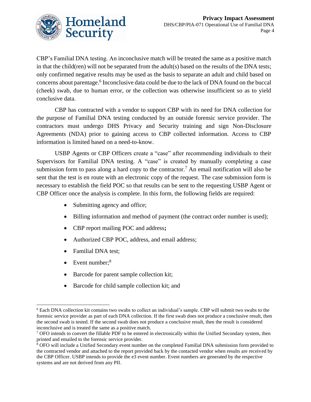

CBP's Familial DNA testing. An inconclusive match will be treated the same as a positive match in that the child(ren) will not be separated from the adult(s) based on the results of the DNA tests; only confirmed negative results may be used as the basis to separate an adult and child based on concerns about parentage.<sup>6</sup> Inconclusive data could be due to the lack of DNA found on the buccal (cheek) swab, due to human error, or the collection was otherwise insufficient so as to yield conclusive data.

CBP has contracted with a vendor to support CBP with its need for DNA collection for the purpose of Familial DNA testing conducted by an outside forensic service provider. The contractors must undergo DHS Privacy and Security training and sign Non-Disclosure Agreements (NDA) prior to gaining access to CBP collected information. Access to CBP information is limited based on a need-to-know.

USBP Agents or CBP Officers create a "case" after recommending individuals to their Supervisors for Familial DNA testing. A "case" is created by manually completing a case submission form to pass along a hard copy to the contractor.<sup>7</sup> An email notification will also be sent that the test is en route with an electronic copy of the request. The case submission form is necessary to establish the field POC so that results can be sent to the requesting USBP Agent or CBP Officer once the analysis is complete. In this form, the following fields are required:

- Submitting agency and office;
- Billing information and method of payment (the contract order number is used);
- CBP report mailing POC and address**;**
- Authorized CBP POC, address, and email address;
- Familial DNA test;
- Event number; $8$
- Barcode for parent sample collection kit;
- Barcode for child sample collection kit; and

<sup>6</sup> Each DNA collection kit contains two swabs to collect an individual's sample. CBP will submit two swabs to the forensic service provider as part of each DNA collection. If the first swab does not produce a conclusive result, then the second swab is tested. If the second swab does not produce a conclusive result, then the result is considered inconclusive and is treated the same as a positive match.

<sup>&</sup>lt;sup>7</sup> OFO intends to convert the fillable PDF to be entered in electronically within the Unified Secondary system, then printed and emailed to the forensic service provider.

<sup>8</sup> OFO will include a Unified Secondary event number on the completed Familial DNA submission form provided to the contracted vendor and attached to the report provided back by the contacted vendor when results are received by the CBP Officer. USBP intends to provide the e3 event number. Event numbers are generated by the respective systems and are not derived from any PII.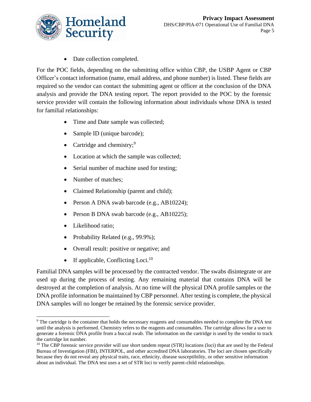

• Date collection completed.

For the POC fields, depending on the submitting office within CBP, the USBP Agent or CBP Officer's contact information (name, email address, and phone number) is listed. These fields are required so the vendor can contact the submitting agent or officer at the conclusion of the DNA analysis and provide the DNA testing report. The report provided to the POC by the forensic service provider will contain the following information about individuals whose DNA is tested for familial relationships:

- Time and Date sample was collected;
- Sample ID (unique barcode);
- Cartridge and chemistry; $9$
- Location at which the sample was collected;
- Serial number of machine used for testing;
- Number of matches;
- Claimed Relationship (parent and child);
- Person A DNA swab barcode (e.g., AB10224);
- Person B DNA swab barcode (e.g., AB10225);
- Likelihood ratio;
- Probability Related (e.g., 99.9%);
- Overall result: positive or negative; and
- If applicable, Conflicting Loci.<sup>10</sup>

Familial DNA samples will be processed by the contracted vendor. The swabs disintegrate or are used up during the process of testing. Any remaining material that contains DNA will be destroyed at the completion of analysis. At no time will the physical DNA profile samples or the DNA profile information be maintained by CBP personnel. After testing is complete, the physical DNA samples will no longer be retained by the forensic service provider.

<sup>9</sup> The cartridge is the container that holds the necessary reagents and consumables needed to complete the DNA test until the analysis is performed. Chemistry refers to the reagents and consumables. The cartridge allows for a user to generate a forensic DNA profile from a buccal swab. The information on the cartridge is used by the vendor to track the cartridge lot number.

 $10$  The CBP forensic service provider will use short tandem repeat (STR) locations (loci) that are used by the Federal Bureau of Investigation (FBI), INTERPOL, and other accredited DNA laboratories. The loci are chosen specifically because they do not reveal any physical traits, race, ethnicity, disease susceptibility, or other sensitive information about an individual. The DNA test uses a set of STR loci to verify parent-child relationships.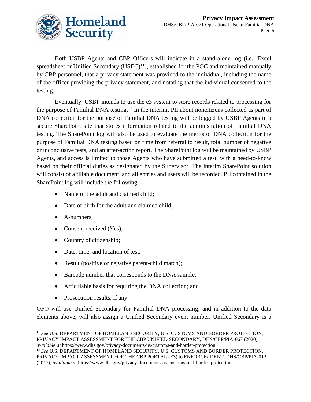

Both USBP Agents and CBP Officers will indicate in a stand-alone log (i.e., Excel spreadsheet or Unified Secondary (USEC)<sup>11</sup>), established for the POC and maintained manually by CBP personnel, that a privacy statement was provided to the individual, including the name of the officer providing the privacy statement, and notating that the individual consented to the testing.

Eventually, USBP intends to use the e3 system to store records related to processing for the purpose of Familial DNA testing.<sup>12</sup> In the interim, PII about noncitizens collected as part of DNA collection for the purpose of Familial DNA testing will be logged by USBP Agents in a secure SharePoint site that stores information related to the administration of Familial DNA testing. The SharePoint log will also be used to evaluate the merits of DNA collection for the purpose of Familial DNA testing based on time from referral to result, total number of negative or inconclusive tests, and an after-action report. The SharePoint log will be maintained by USBP Agents, and access is limited to those Agents who have submitted a test, with a need-to-know based on their official duties as designated by the Supervisor. The interim SharePoint solution will consist of a fillable document, and all entries and users will be recorded. PII contained in the SharePoint log will include the following:

- Name of the adult and claimed child;
- Date of birth for the adult and claimed child;
- A-numbers;
- Consent received (Yes);
- Country of citizenship;
- Date, time, and location of test;
- Result (positive or negative parent-child match);
- Barcode number that corresponds to the DNA sample;
- Articulable basis for requiring the DNA collection; and
- Prosecution results, if any.

OFO will use Unified Secondary for Familial DNA processing, and in addition to the data elements above, will also assign a Unified Secondary event number. Unified Secondary is a

<sup>11</sup> *See* U.S. DEPARTMENT OF HOMELAND SECURITY, U.S. CUSTOMS AND BORDER PROTECTION, PRIVACY IMPACT ASSESSMENT FOR THE CBP UNIFIED SECONDARY, DHS/CBP/PIA-067 (2020), *available at* https://www.dhs.gov/privacy-documents-us-customs-and-border-protection.

<sup>12</sup> *See* U.S. DEPARTMENT OF HOMELAND SECURITY, U.S. CUSTOMS AND BORDER PROTECTION, PRIVACY IMPACT ASSESSMENT FOR THE CBP PORTAL (E3) to ENFORCE/IDENT, DHS/CBP/PIA-012 (2017), *available at* https://www.dhs.gov/privacy-documents-us-customs-and-border-protection.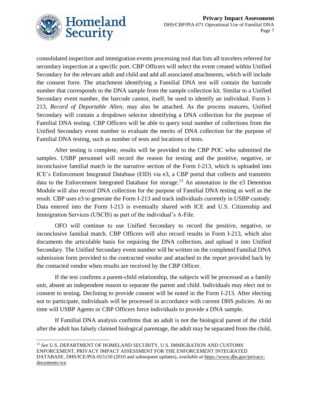

consolidated inspection and immigration events processing tool that lists all travelers referred for secondary inspection at a specific port. CBP Officers will select the event created within Unified Secondary for the relevant adult and child and add all associated attachments, which will include the consent form. The attachment identifying a Familial DNA test will contain the barcode number that corresponds to the DNA sample from the sample collection kit. Similar to a Unified Secondary event number, the barcode cannot, itself, be used to identify an individual. Form I-213, *Record of Deportable Alien,* may also be attached. As the process matures, Unified Secondary will contain a dropdown selector identifying a DNA collection for the purpose of Familial DNA testing. CBP Officers will be able to query total number of collections from the Unified Secondary event number to evaluate the merits of DNA collection for the purpose of Familial DNA testing, such as number of tests and locations of tests.

After testing is complete, results will be provided to the CBP POC who submitted the samples. USBP personnel will record the reason for testing and the positive, negative, or inconclusive familial match in the narrative section of the Form I-213, which is uploaded into ICE's Enforcement Integrated Database (EID) via e3, a CBP portal that collects and transmits data to the Enforcement Integrated Database for storage.<sup>13</sup> An annotation in the  $e3$  Detention Module will also record DNA collection for the purpose of Familial DNA testing as well as the result. CBP uses e3 to generate the Form I-213 and track individuals currently in USBP custody. Data entered into the Form I-213 is eventually shared with ICE and U.S. Citizenship and Immigration Services (USCIS) as part of the individual's A-File.

OFO will continue to use Unified Secondary to record the positive, negative, or inconclusive familial match. CBP Officers will also record results in Form I-213, which also documents the articulable basis for requiring the DNA collection, and upload it into Unified Secondary. The Unified Secondary event number will be written on the completed Familial DNA submission form provided to the contracted vendor and attached to the report provided back by the contacted vendor when results are received by the CBP Officer.

If the test confirms a parent-child relationship, the subjects will be processed as a family unit, absent an independent reason to separate the parent and child. Individuals may elect not to consent to testing. Declining to provide consent will be noted in the Form I-213. After electing not to participate, individuals will be processed in accordance with current DHS policies. At no time will USBP Agents or CBP Officers force individuals to provide a DNA sample.

If Familial DNA analysis confirms that an adult is not the biological parent of the child after the adult has falsely claimed biological parentage, the adult may be separated from the child,

<sup>13</sup> *See* U.S. DEPARTMENT OF HOMELAND SECURITY, U.S. IMMIGRATION AND CUSTOMS ENFORCEMENT, PRIVACY IMPACT ASSESSMENT FOR THE ENFORCEMENT INTEGRATED DATABASE, DHS/ICE/PIA-015150 (2010 and subsequent updates), *available at* https://www.dhs.gov/privacydocuments-ice.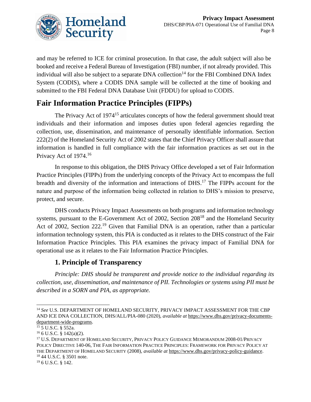

and may be referred to ICE for criminal prosecution. In that case, the adult subject will also be booked and receive a Federal Bureau of Investigation (FBI) number, if not already provided. This individual will also be subject to a separate DNA collection<sup>14</sup> for the FBI Combined DNA Index System (CODIS), where a CODIS DNA sample will be collected at the time of booking and submitted to the FBI Federal DNA Database Unit (FDDU) for upload to CODIS.

### **Fair Information Practice Principles (FIPPs)**

The Privacy Act of 1974<sup>15</sup> articulates concepts of how the federal government should treat individuals and their information and imposes duties upon federal agencies regarding the collection, use, dissemination, and maintenance of personally identifiable information. Section 222(2) of the Homeland Security Act of 2002 states that the Chief Privacy Officer shall assure that information is handled in full compliance with the fair information practices as set out in the Privacy Act of 1974.<sup>16</sup>

In response to this obligation, the DHS Privacy Office developed a set of Fair Information Practice Principles (FIPPs) from the underlying concepts of the Privacy Act to encompass the full breadth and diversity of the information and interactions of DHS.<sup>17</sup> The FIPPs account for the nature and purpose of the information being collected in relation to DHS's mission to preserve, protect, and secure.

DHS conducts Privacy Impact Assessments on both programs and information technology systems, pursuant to the E-Government Act of 2002, Section 208<sup>18</sup> and the Homeland Security Act of 2002, Section 222.<sup>19</sup> Given that Familial DNA is an operation, rather than a particular information technology system, this PIA is conducted as it relates to the DHS construct of the Fair Information Practice Principles. This PIA examines the privacy impact of Familial DNA for operational use as it relates to the Fair Information Practice Principles.

#### **1. Principle of Transparency**

*Principle: DHS should be transparent and provide notice to the individual regarding its collection, use, dissemination, and maintenance of PII. Technologies or systems using PII must be described in a SORN and PIA, as appropriate.* 

<sup>14</sup> *See* U.S. DEPARTMENT OF HOMELAND SECURITY, PRIVACY IMPACT ASSESSMENT FOR THE CBP AND ICE DNA COLLECTION, DHS/ALL/PIA-080 (2020), *available at* https://www.dhs.gov/privacy-documentsdepartment-wide-programs.

<sup>15</sup> 5 U.S.C. § 552a.

 $16$  6 U.S.C. § 142(a)(2).

<sup>17</sup> U.S. DEPARTMENT OF HOMELAND SECURITY, PRIVACY POLICY GUIDANCE MEMORANDUM 2008-01/PRIVACY POLICY DIRECTIVE 140-06, THE FAIR INFORMATION PRACTICE PRINCIPLES: FRAMEWORK FOR PRIVACY POLICY AT THE DEPARTMENT OF HOMELAND SECURITY (2008), *available at* [https://www.dhs.gov/privacy-policy-guidance.](https://www.dhs.gov/privacy-policy-guidance) <sup>18</sup> 44 U.S.C. § 3501 note.

<sup>19</sup> 6 U.S.C. § 142.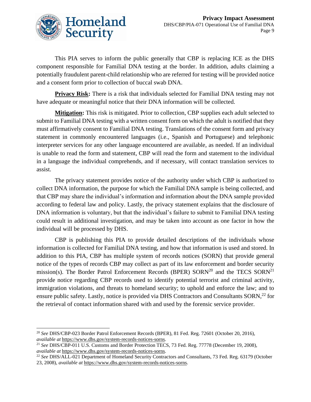This PIA serves to inform the public generally that CBP is replacing ICE as the DHS component responsible for Familial DNA testing at the border. In addition, adults claiming a potentially fraudulent parent-child relationship who are referred for testing will be provided notice and a consent form prior to collection of buccal swab DNA.

**Privacy Risk:** There is a risk that individuals selected for Familial DNA testing may not have adequate or meaningful notice that their DNA information will be collected.

**Mitigation:** This risk is mitigated. Prior to collection, CBP supplies each adult selected to submit to Familial DNA testing with a written consent form on which the adult is notified that they must affirmatively consent to Familial DNA testing. Translations of the consent form and privacy statement in commonly encountered languages (i.e., Spanish and Portuguese) and telephonic interpreter services for any other language encountered are available, as needed. If an individual is unable to read the form and statement, CBP will read the form and statement to the individual in a language the individual comprehends, and if necessary, will contact translation services to assist.

The privacy statement provides notice of the authority under which CBP is authorized to collect DNA information, the purpose for which the Familial DNA sample is being collected, and that CBP may share the individual's information and information about the DNA sample provided according to federal law and policy. Lastly, the privacy statement explains that the disclosure of DNA information is voluntary, but that the individual's failure to submit to Familial DNA testing could result in additional investigation, and may be taken into account as one factor in how the individual will be processed by DHS.

CBP is publishing this PIA to provide detailed descriptions of the individuals whose information is collected for Familial DNA testing, and how that information is used and stored. In addition to this PIA, CBP has multiple system of records notices (SORN) that provide general notice of the types of records CBP may collect as part of its law enforcement and border security mission(s). The Border Patrol Enforcement Records (BPER)  $SORN^{20}$  and the TECS  $SORN^{21}$ provide notice regarding CBP records used to identify potential terrorist and criminal activity, immigration violations, and threats to homeland security; to uphold and enforce the law; and to ensure public safety. Lastly, notice is provided via DHS Contractors and Consultants SORN,<sup>22</sup> for the retrieval of contact information shared with and used by the forensic service provider.

<sup>20</sup> *See* DHS/CBP-023 Border Patrol Enforcement Records (BPER), 81 Fed. Reg. 72601 (October 20, 2016), *available at* [https://www.dhs.gov/system-records-notices-sorns.](https://www.dhs.gov/system-records-notices-sorns)

<sup>21</sup> *See* DHS/CBP-011 U.S. Customs and Border Protection TECS, 73 Fed. Reg. 77778 (December 19, 2008), *available at* [https://www.dhs.gov/system-records-notices-sorns.](https://www.dhs.gov/system-records-notices-sorns)

<sup>22</sup> *See* DHS/ALL-021 Department of Homeland Security Contractors and Consultants, 73 Fed. Reg. 63179 (October 23, 2008), *available at* [https://www.dhs.gov/system-records-notices-sorns.](https://www.dhs.gov/system-records-notices-sorns)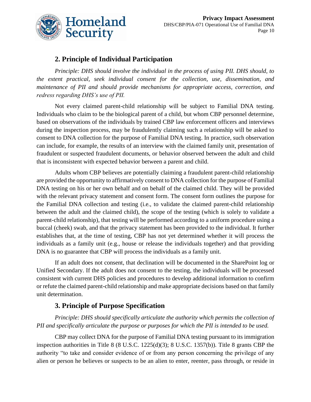

#### **2. Principle of Individual Participation**

*Principle: DHS should involve the individual in the process of using PII. DHS should, to the extent practical, seek individual consent for the collection, use, dissemination, and maintenance of PII and should provide mechanisms for appropriate access, correction, and redress regarding DHS's use of PII.*

Not every claimed parent-child relationship will be subject to Familial DNA testing. Individuals who claim to be the biological parent of a child, but whom CBP personnel determine, based on observations of the individuals by trained CBP law enforcement officers and interviews during the inspection process, may be fraudulently claiming such a relationship will be asked to consent to DNA collection for the purpose of Familial DNA testing. In practice, such observation can include, for example, the results of an interview with the claimed family unit, presentation of fraudulent or suspected fraudulent documents, or behavior observed between the adult and child that is inconsistent with expected behavior between a parent and child.

Adults whom CBP believes are potentially claiming a fraudulent parent-child relationship are provided the opportunity to affirmatively consent to DNA collection for the purpose of Familial DNA testing on his or her own behalf and on behalf of the claimed child. They will be provided with the relevant privacy statement and consent form. The consent form outlines the purpose for the Familial DNA collection and testing (i.e., to validate the claimed parent-child relationship between the adult and the claimed child), the scope of the testing (which is solely to validate a parent-child relationship), that testing will be performed according to a uniform procedure using a buccal (cheek) swab, and that the privacy statement has been provided to the individual. It further establishes that, at the time of testing, CBP has not yet determined whether it will process the individuals as a family unit (e.g., house or release the individuals together) and that providing DNA is no guarantee that CBP will process the individuals as a family unit.

If an adult does not consent, that declination will be documented in the SharePoint log or Unified Secondary. If the adult does not consent to the testing, the individuals will be processed consistent with current DHS policies and procedures to develop additional information to confirm or refute the claimed parent-child relationship and make appropriate decisions based on that family unit determination.

#### **3. Principle of Purpose Specification**

*Principle: DHS should specifically articulate the authority which permits the collection of PII and specifically articulate the purpose or purposes for which the PII is intended to be used.*

CBP may collect DNA for the purpose of Familial DNA testing pursuant to its immigration inspection authorities in Title 8 (8 U.S.C. 1225(d)(3); 8 U.S.C. 1357(b)). Title 8 grants CBP the authority "to take and consider evidence of or from any person concerning the privilege of any alien or person he believes or suspects to be an alien to enter, reenter, pass through, or reside in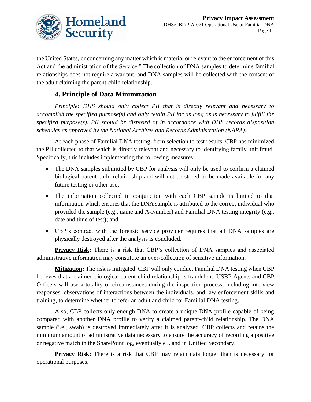

the United States, or concerning any matter which is material or relevant to the enforcement of this Act and the administration of the Service." The collection of DNA samples to determine familial relationships does not require a warrant, and DNA samples will be collected with the consent of the adult claiming the parent-child relationship.

#### **4. Principle of Data Minimization**

*Principle: DHS should only collect PII that is directly relevant and necessary to accomplish the specified purpose(s) and only retain PII for as long as is necessary to fulfill the specified purpose(s). PII should be disposed of in accordance with DHS records disposition schedules as approved by the National Archives and Records Administration (NARA).*

At each phase of Familial DNA testing, from selection to test results, CBP has minimized the PII collected to that which is directly relevant and necessary to identifying family unit fraud. Specifically, this includes implementing the following measures:

- The DNA samples submitted by CBP for analysis will only be used to confirm a claimed biological parent-child relationship and will not be stored or be made available for any future testing or other use;
- The information collected in conjunction with each CBP sample is limited to that information which ensures that the DNA sample is attributed to the correct individual who provided the sample (e.g., name and A-Number) and Familial DNA testing integrity (e.g., date and time of test); and
- CBP's contract with the forensic service provider requires that all DNA samples are physically destroyed after the analysis is concluded.

**Privacy Risk:** There is a risk that CBP's collection of DNA samples and associated administrative information may constitute an over-collection of sensitive information.

**Mitigation:** The risk is mitigated. CBP will only conduct Familial DNA testing when CBP believes that a claimed biological parent-child relationship is fraudulent. USBP Agents and CBP Officers will use a totality of circumstances during the inspection process, including interview responses, observations of interactions between the individuals, and law enforcement skills and training, to determine whether to refer an adult and child for Familial DNA testing.

Also, CBP collects only enough DNA to create a unique DNA profile capable of being compared with another DNA profile to verify a claimed parent-child relationship. The DNA sample (i.e., swab) is destroyed immediately after it is analyzed. CBP collects and retains the minimum amount of administrative data necessary to ensure the accuracy of recording a positive or negative match in the SharePoint log, eventually e3, and in Unified Secondary.

**Privacy Risk:** There is a risk that CBP may retain data longer than is necessary for operational purposes.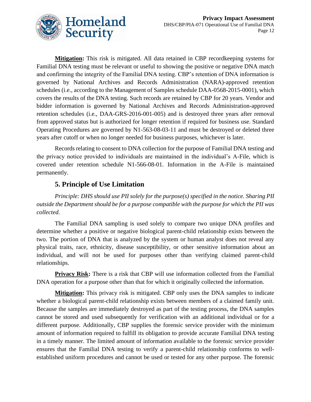

**Mitigation:** This risk is mitigated. All data retained in CBP recordkeeping systems for Familial DNA testing must be relevant or useful to showing the positive or negative DNA match and confirming the integrity of the Familial DNA testing. CBP's retention of DNA information is governed by National Archives and Records Administration (NARA)-approved retention schedules (i.e., according to the Management of Samples schedule DAA-0568-2015-0001), which covers the results of the DNA testing. Such records are retained by CBP for 20 years. Vendor and bidder information is governed by National Archives and Records Administration-approved retention schedules (i.e., DAA-GRS-2016-001-005) and is destroyed three years after removal from approved status but is authorized for longer retention if required for business use. Standard Operating Procedures are governed by N1-563-08-03-11 and must be destroyed or deleted three years after cutoff or when no longer needed for business purposes, whichever is later.

Records relating to consent to DNA collection for the purpose of Familial DNA testing and the privacy notice provided to individuals are maintained in the individual's A-File, which is covered under retention schedule N1-566-08-01. Information in the A-File is maintained permanently.

#### **5. Principle of Use Limitation**

*Principle: DHS should use PII solely for the purpose(s) specified in the notice. Sharing PII outside the Department should be for a purpose compatible with the purpose for which the PII was collected.*

The Familial DNA sampling is used solely to compare two unique DNA profiles and determine whether a positive or negative biological parent-child relationship exists between the two. The portion of DNA that is analyzed by the system or human analyst does not reveal any physical traits, race, ethnicity, disease susceptibility, or other sensitive information about an individual, and will not be used for purposes other than verifying claimed parent-child relationships.

**Privacy Risk:** There is a risk that CBP will use information collected from the Familial DNA operation for a purpose other than that for which it originally collected the information.

**Mitigation:** This privacy risk is mitigated. CBP only uses the DNA samples to indicate whether a biological parent-child relationship exists between members of a claimed family unit. Because the samples are immediately destroyed as part of the testing process, the DNA samples cannot be stored and used subsequently for verification with an additional individual or for a different purpose. Additionally, CBP supplies the forensic service provider with the minimum amount of information required to fulfill its obligation to provide accurate Familial DNA testing in a timely manner. The limited amount of information available to the forensic service provider ensures that the Familial DNA testing to verify a parent-child relationship conforms to wellestablished uniform procedures and cannot be used or tested for any other purpose. The forensic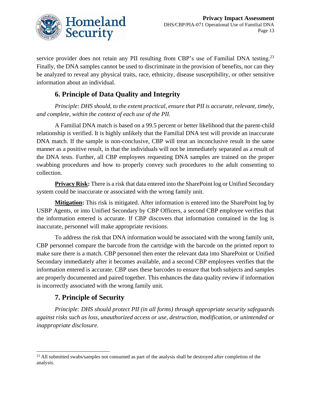

service provider does not retain any PII resulting from CBP's use of Familial DNA testing.<sup>23</sup> Finally, the DNA samples cannot be used to discriminate in the provision of benefits, nor can they be analyzed to reveal any physical traits, race, ethnicity, disease susceptibility, or other sensitive information about an individual.

#### **6. Principle of Data Quality and Integrity**

*Principle: DHS should, to the extent practical, ensure that PII is accurate, relevant, timely, and complete, within the context of each use of the PII.*

A Familial DNA match is based on a 99.5 percent or better likelihood that the parent-child relationship is verified. It is highly unlikely that the Familial DNA test will provide an inaccurate DNA match. If the sample is non-conclusive, CBP will treat an inconclusive result in the same manner as a positive result, in that the individuals will not be immediately separated as a result of the DNA tests. Further, all CBP employees requesting DNA samples are trained on the proper swabbing procedures and how to properly convey such procedures to the adult consenting to collection.

**Privacy Risk:** There is a risk that data entered into the SharePoint log or Unified Secondary system could be inaccurate or associated with the wrong family unit.

**Mitigation:** This risk is mitigated. After information is entered into the SharePoint log by USBP Agents, or into Unified Secondary by CBP Officers, a second CBP employee verifies that the information entered is accurate. If CBP discovers that information contained in the log is inaccurate, personnel will make appropriate revisions.

To address the risk that DNA information would be associated with the wrong family unit, CBP personnel compare the barcode from the cartridge with the barcode on the printed report to make sure there is a match. CBP personnel then enter the relevant data into SharePoint or Unified Secondary immediately after it becomes available, and a second CBP employees verifies that the information entered is accurate. CBP uses these barcodes to ensure that both subjects and samples are properly documented and paired together. This enhances the data quality review if information is incorrectly associated with the wrong family unit.

#### **7. Principle of Security**

*Principle: DHS should protect PII (in all forms) through appropriate security safeguards against risks such as loss, unauthorized access or use, destruction, modification, or unintended or inappropriate disclosure.*

<sup>&</sup>lt;sup>23</sup> All submitted swabs/samples not consumed as part of the analysis shall be destroyed after completion of the analysis.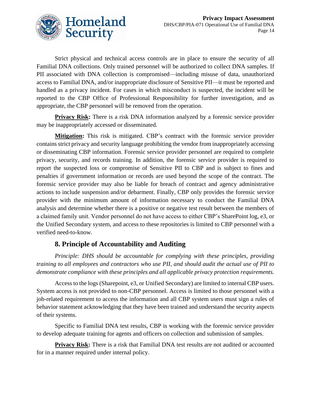

Strict physical and technical access controls are in place to ensure the security of all Familial DNA collections. Only trained personnel will be authorized to collect DNA samples. If PII associated with DNA collection is compromised—including misuse of data, unauthorized access to Familial DNA, and/or inappropriate disclosure of Sensitive PII—it must be reported and handled as a privacy incident. For cases in which misconduct is suspected, the incident will be reported to the CBP Office of Professional Responsibility for further investigation, and as appropriate, the CBP personnel will be removed from the operation.

**Privacy Risk:** There is a risk DNA information analyzed by a forensic service provider may be inappropriately accessed or disseminated.

**Mitigation:** This risk is mitigated. CBP's contract with the forensic service provider contains strict privacy and security language prohibiting the vendor from inappropriately accessing or disseminating CBP information. Forensic service provider personnel are required to complete privacy, security, and records training. In addition, the forensic service provider is required to report the suspected loss or compromise of Sensitive PII to CBP and is subject to fines and penalties if government information or records are used beyond the scope of the contract. The forensic service provider may also be liable for breach of contract and agency administrative actions to include suspension and/or debarment. Finally, CBP only provides the forensic service provider with the minimum amount of information necessary to conduct the Familial DNA analysis and determine whether there is a positive or negative test result between the members of a claimed family unit. Vendor personnel do not have access to either CBP's SharePoint log, e3, or the Unified Secondary system, and access to these repositories is limited to CBP personnel with a verified need-to-know.

#### **8. Principle of Accountability and Auditing**

*Principle: DHS should be accountable for complying with these principles, providing training to all employees and contractors who use PII, and should audit the actual use of PII to demonstrate compliance with these principles and all applicable privacy protection requirements.*

Access to the logs (Sharepoint, e3, or Unified Secondary) are limited to internal CBP users. System access is not provided to non-CBP personnel. Access is limited to those personnel with a job-related requirement to access the information and all CBP system users must sign a rules of behavior statement acknowledging that they have been trained and understand the security aspects of their systems.

Specific to Familial DNA test results, CBP is working with the forensic service provider to develop adequate training for agents and officers on collection and submission of samples.

**Privacy Risk:** There is a risk that Familial DNA test results are not audited or accounted for in a manner required under internal policy.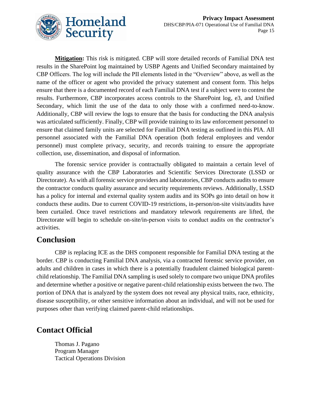

**Mitigation:** This risk is mitigated. CBP will store detailed records of Familial DNA test results in the SharePoint log maintained by USBP Agents and Unified Secondary maintained by CBP Officers. The log will include the PII elements listed in the "Overview" above, as well as the name of the officer or agent who provided the privacy statement and consent form. This helps ensure that there is a documented record of each Familial DNA test if a subject were to contest the results. Furthermore, CBP incorporates access controls to the SharePoint log, e3, and Unified Secondary, which limit the use of the data to only those with a confirmed need-to-know. Additionally, CBP will review the logs to ensure that the basis for conducting the DNA analysis was articulated sufficiently. Finally, CBP will provide training to its law enforcement personnel to ensure that claimed family units are selected for Familial DNA testing as outlined in this PIA. All personnel associated with the Familial DNA operation (both federal employees and vendor personnel) must complete privacy, security, and records training to ensure the appropriate collection, use, dissemination, and disposal of information.

The forensic service provider is contractually obligated to maintain a certain level of quality assurance with the CBP Laboratories and Scientific Services Directorate (LSSD or Directorate). As with all forensic service providers and laboratories, CBP conducts audits to ensure the contractor conducts quality assurance and security requirements reviews. Additionally, LSSD has a policy for internal and external quality system audits and its SOPs go into detail on how it conducts these audits. Due to current COVID-19 restrictions, in-person/on-site visits/audits have been curtailed. Once travel restrictions and mandatory telework requirements are lifted, the Directorate will begin to schedule on-site/in-person visits to conduct audits on the contractor's activities.

#### **Conclusion**

CBP is replacing ICE as the DHS component responsible for Familial DNA testing at the border. CBP is conducting Familial DNA analysis, via a contracted forensic service provider, on adults and children in cases in which there is a potentially fraudulent claimed biological parentchild relationship. The Familial DNA sampling is used solely to compare two unique DNA profiles and determine whether a positive or negative parent-child relationship exists between the two. The portion of DNA that is analyzed by the system does not reveal any physical traits, race, ethnicity, disease susceptibility, or other sensitive information about an individual, and will not be used for purposes other than verifying claimed parent-child relationships.

#### **Contact Official**

Thomas J. Pagano Program Manager Tactical Operations Division